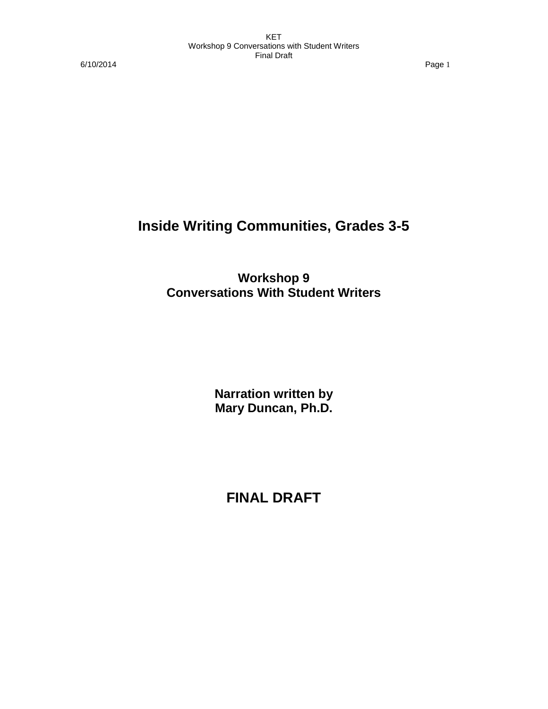6/10/2014 Page 1

# **Inside Writing Communities, Grades 3-5**

**Workshop 9 Conversations With Student Writers**

> **Narration written by Mary Duncan, Ph.D.**

**FINAL DRAFT**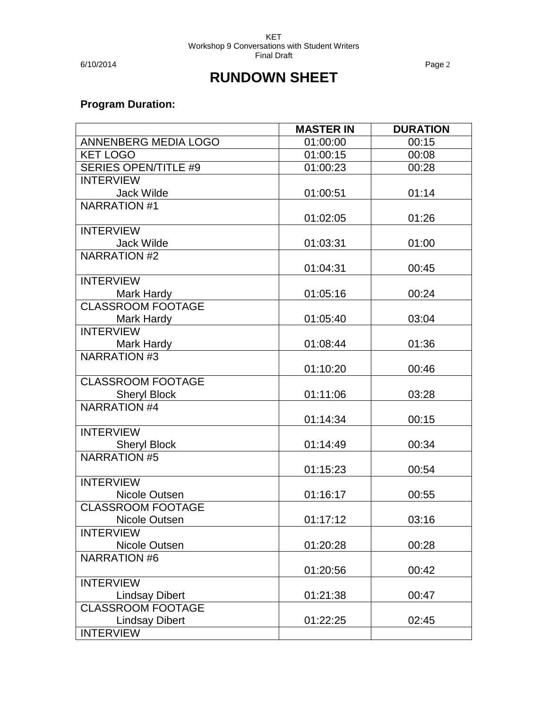6/10/2014 Page 2

# **RUNDOWN SHEET**

# **Program Duration:**

|                             | <b>MASTER IN</b> | <b>DURATION</b> |
|-----------------------------|------------------|-----------------|
| ANNENBERG MEDIA LOGO        | 01:00:00         | 00:15           |
| <b>KET LOGO</b>             | 01:00:15         | 00:08           |
| <b>SERIES OPEN/TITLE #9</b> | 01:00:23         | 00:28           |
| <b>INTERVIEW</b>            |                  |                 |
| <b>Jack Wilde</b>           | 01:00:51         | 01:14           |
| <b>NARRATION #1</b>         |                  |                 |
|                             | 01:02:05         | 01:26           |
| <b>INTERVIEW</b>            |                  |                 |
| <b>Jack Wilde</b>           | 01:03:31         | 01:00           |
| <b>NARRATION #2</b>         |                  |                 |
|                             | 01:04:31         | 00:45           |
| <b>INTERVIEW</b>            |                  |                 |
| Mark Hardy                  | 01:05:16         | 00:24           |
| <b>CLASSROOM FOOTAGE</b>    |                  |                 |
| Mark Hardy                  | 01:05:40         | 03:04           |
| <b>INTERVIEW</b>            |                  |                 |
| Mark Hardy                  | 01:08:44         | 01:36           |
| <b>NARRATION #3</b>         |                  |                 |
|                             | 01:10:20         | 00:46           |
| <b>CLASSROOM FOOTAGE</b>    |                  |                 |
| <b>Sheryl Block</b>         | 01:11:06         | 03:28           |
| <b>NARRATION #4</b>         |                  |                 |
|                             | 01:14:34         | 00:15           |
| <b>INTERVIEW</b>            |                  |                 |
| <b>Sheryl Block</b>         | 01:14:49         | 00:34           |
| <b>NARRATION #5</b>         |                  |                 |
| <b>INTERVIEW</b>            | 01:15:23         | 00:54           |
| Nicole Outsen               | 01:16:17         | 00:55           |
| <b>CLASSROOM FOOTAGE</b>    |                  |                 |
| Nicole Outsen               | 01:17:12         | 03:16           |
| <b>INTERVIEW</b>            |                  |                 |
| Nicole Outsen               | 01:20:28         | 00:28           |
| <b>NARRATION #6</b>         |                  |                 |
|                             | 01:20:56         | 00:42           |
| <b>INTERVIEW</b>            |                  |                 |
| <b>Lindsay Dibert</b>       | 01:21:38         | 00:47           |
| <b>CLASSROOM FOOTAGE</b>    |                  |                 |
| <b>Lindsay Dibert</b>       | 01:22:25         | 02:45           |
| <b>INTERVIEW</b>            |                  |                 |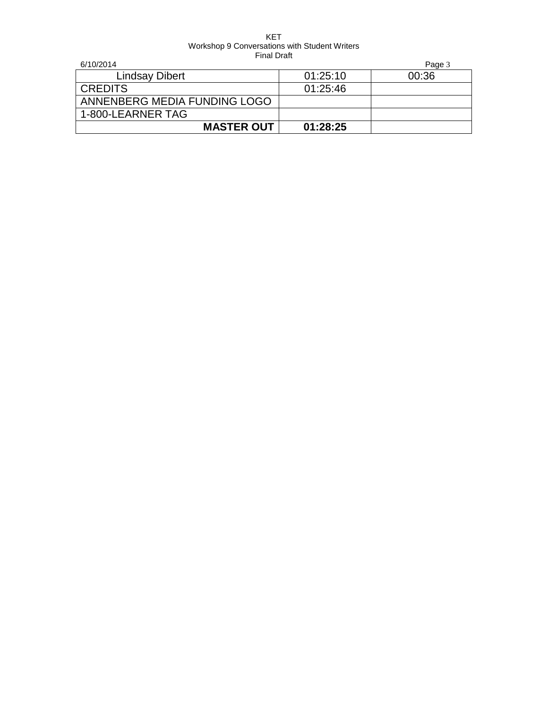| 6/10/2014                    |          | Page 3 |
|------------------------------|----------|--------|
| <b>Lindsay Dibert</b>        | 01:25:10 | 00:36  |
| <b>CREDITS</b>               | 01:25:46 |        |
| ANNENBERG MEDIA FUNDING LOGO |          |        |
| 1-800-LEARNER TAG            |          |        |
| <b>MASTER OUT</b>            | 01:28:25 |        |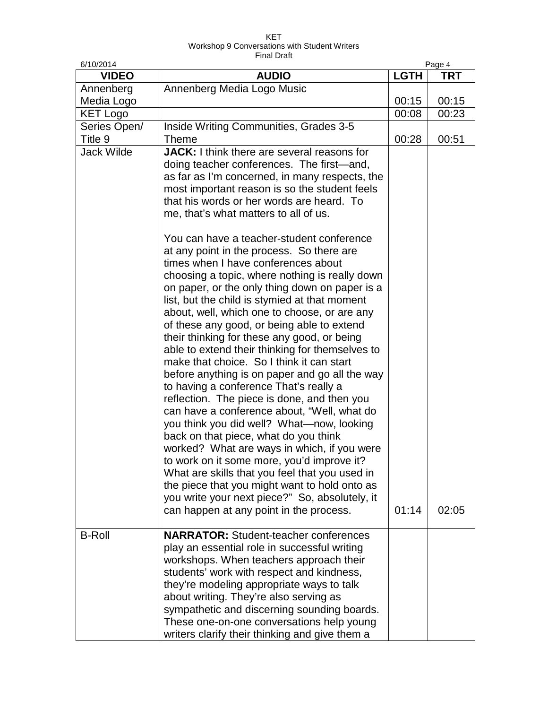| 6/10/2014                          |                                                                                                                                                                                                                                                                                                                                                                                                                                                                                                                                                                                                                                                                                                                                                                                                                                                                                                                                                                                                                                                                                                                                                                                                                                                                                                                                                                                                                                                          | Page 4      |       |
|------------------------------------|----------------------------------------------------------------------------------------------------------------------------------------------------------------------------------------------------------------------------------------------------------------------------------------------------------------------------------------------------------------------------------------------------------------------------------------------------------------------------------------------------------------------------------------------------------------------------------------------------------------------------------------------------------------------------------------------------------------------------------------------------------------------------------------------------------------------------------------------------------------------------------------------------------------------------------------------------------------------------------------------------------------------------------------------------------------------------------------------------------------------------------------------------------------------------------------------------------------------------------------------------------------------------------------------------------------------------------------------------------------------------------------------------------------------------------------------------------|-------------|-------|
| <b>VIDEO</b>                       | <b>AUDIO</b>                                                                                                                                                                                                                                                                                                                                                                                                                                                                                                                                                                                                                                                                                                                                                                                                                                                                                                                                                                                                                                                                                                                                                                                                                                                                                                                                                                                                                                             | <b>LGTH</b> | TRT   |
| Annenberg                          | Annenberg Media Logo Music                                                                                                                                                                                                                                                                                                                                                                                                                                                                                                                                                                                                                                                                                                                                                                                                                                                                                                                                                                                                                                                                                                                                                                                                                                                                                                                                                                                                                               |             |       |
| Media Logo                         |                                                                                                                                                                                                                                                                                                                                                                                                                                                                                                                                                                                                                                                                                                                                                                                                                                                                                                                                                                                                                                                                                                                                                                                                                                                                                                                                                                                                                                                          | 00:15       | 00:15 |
| <b>KET Logo</b>                    |                                                                                                                                                                                                                                                                                                                                                                                                                                                                                                                                                                                                                                                                                                                                                                                                                                                                                                                                                                                                                                                                                                                                                                                                                                                                                                                                                                                                                                                          | 00:08       | 00:23 |
| Series Open/                       | Inside Writing Communities, Grades 3-5                                                                                                                                                                                                                                                                                                                                                                                                                                                                                                                                                                                                                                                                                                                                                                                                                                                                                                                                                                                                                                                                                                                                                                                                                                                                                                                                                                                                                   |             |       |
| Title 9                            | <b>Theme</b>                                                                                                                                                                                                                                                                                                                                                                                                                                                                                                                                                                                                                                                                                                                                                                                                                                                                                                                                                                                                                                                                                                                                                                                                                                                                                                                                                                                                                                             | 00:28       | 00:51 |
| <b>Jack Wilde</b><br><b>B-Roll</b> | <b>JACK:</b> I think there are several reasons for<br>doing teacher conferences. The first-and,<br>as far as I'm concerned, in many respects, the<br>most important reason is so the student feels<br>that his words or her words are heard. To<br>me, that's what matters to all of us.<br>You can have a teacher-student conference<br>at any point in the process. So there are<br>times when I have conferences about<br>choosing a topic, where nothing is really down<br>on paper, or the only thing down on paper is a<br>list, but the child is stymied at that moment<br>about, well, which one to choose, or are any<br>of these any good, or being able to extend<br>their thinking for these any good, or being<br>able to extend their thinking for themselves to<br>make that choice. So I think it can start<br>before anything is on paper and go all the way<br>to having a conference That's really a<br>reflection. The piece is done, and then you<br>can have a conference about, "Well, what do<br>you think you did well? What—now, looking<br>back on that piece, what do you think<br>worked? What are ways in which, if you were<br>to work on it some more, you'd improve it?<br>What are skills that you feel that you used in<br>the piece that you might want to hold onto as<br>you write your next piece?" So, absolutely, it<br>can happen at any point in the process.<br><b>NARRATOR:</b> Student-teacher conferences | 01:14       | 02:05 |
|                                    | play an essential role in successful writing<br>workshops. When teachers approach their<br>students' work with respect and kindness,<br>they're modeling appropriate ways to talk<br>about writing. They're also serving as<br>sympathetic and discerning sounding boards.<br>These one-on-one conversations help young<br>writers clarify their thinking and give them a                                                                                                                                                                                                                                                                                                                                                                                                                                                                                                                                                                                                                                                                                                                                                                                                                                                                                                                                                                                                                                                                                |             |       |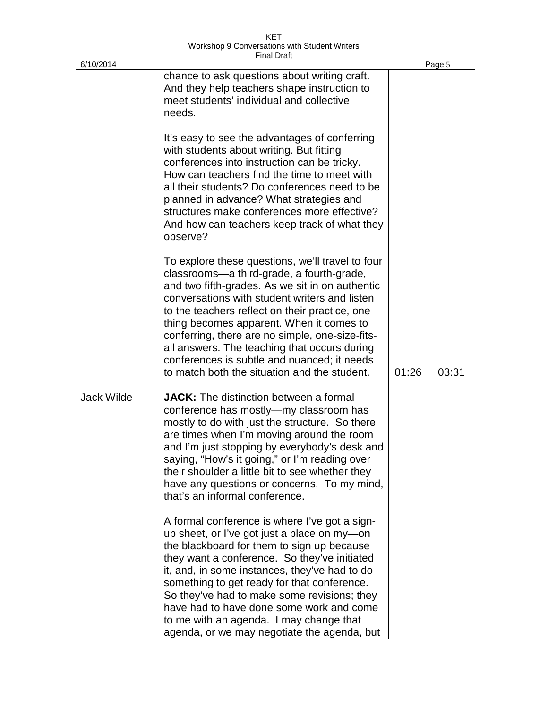| 6/10/2014         |                                                                                                                                                                                                                                                                                                                                                                                                                                                                                                   |       | Page 5 |
|-------------------|---------------------------------------------------------------------------------------------------------------------------------------------------------------------------------------------------------------------------------------------------------------------------------------------------------------------------------------------------------------------------------------------------------------------------------------------------------------------------------------------------|-------|--------|
|                   | chance to ask questions about writing craft.<br>And they help teachers shape instruction to<br>meet students' individual and collective<br>needs.                                                                                                                                                                                                                                                                                                                                                 |       |        |
|                   | It's easy to see the advantages of conferring<br>with students about writing. But fitting<br>conferences into instruction can be tricky.<br>How can teachers find the time to meet with<br>all their students? Do conferences need to be<br>planned in advance? What strategies and<br>structures make conferences more effective?<br>And how can teachers keep track of what they<br>observe?                                                                                                    |       |        |
|                   | To explore these questions, we'll travel to four<br>classrooms-a third-grade, a fourth-grade,<br>and two fifth-grades. As we sit in on authentic<br>conversations with student writers and listen<br>to the teachers reflect on their practice, one<br>thing becomes apparent. When it comes to<br>conferring, there are no simple, one-size-fits-<br>all answers. The teaching that occurs during<br>conferences is subtle and nuanced; it needs<br>to match both the situation and the student. | 01:26 | 03:31  |
| <b>Jack Wilde</b> | <b>JACK:</b> The distinction between a formal<br>conference has mostly—my classroom has<br>mostly to do with just the structure. So there<br>are times when I'm moving around the room<br>and I'm just stopping by everybody's desk and<br>saying, "How's it going," or I'm reading over<br>their shoulder a little bit to see whether they<br>have any questions or concerns. To my mind,<br>that's an informal conference.                                                                      |       |        |
|                   | A formal conference is where I've got a sign-<br>up sheet, or I've got just a place on my-on<br>the blackboard for them to sign up because<br>they want a conference. So they've initiated<br>it, and, in some instances, they've had to do<br>something to get ready for that conference.<br>So they've had to make some revisions; they<br>have had to have done some work and come<br>to me with an agenda. I may change that<br>agenda, or we may negotiate the agenda, but                   |       |        |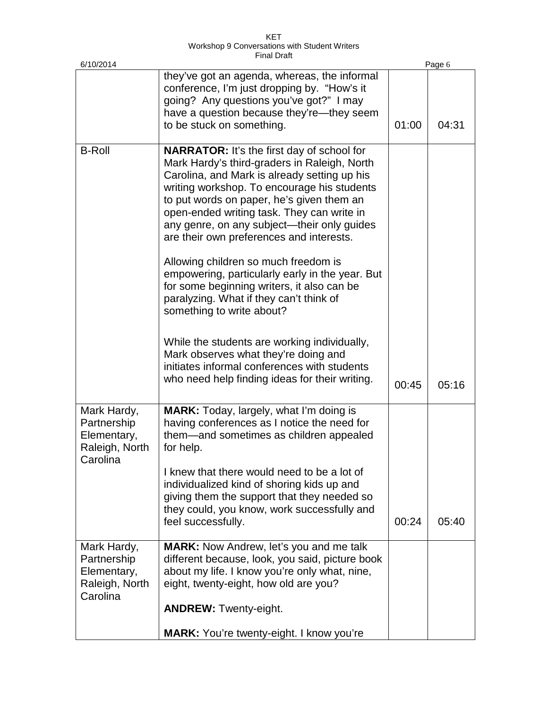KET Workshop 9 Conversations with Student Writers Final Draft

| 6/10/2014                                                               |                                                                                                                                                                                                                                                                                                                                                                                        |       | Page 6 |
|-------------------------------------------------------------------------|----------------------------------------------------------------------------------------------------------------------------------------------------------------------------------------------------------------------------------------------------------------------------------------------------------------------------------------------------------------------------------------|-------|--------|
|                                                                         | they've got an agenda, whereas, the informal<br>conference, I'm just dropping by. "How's it<br>going? Any questions you've got?" I may<br>have a question because they're—they seem<br>to be stuck on something.                                                                                                                                                                       | 01:00 | 04:31  |
| <b>B-Roll</b>                                                           | <b>NARRATOR:</b> It's the first day of school for<br>Mark Hardy's third-graders in Raleigh, North<br>Carolina, and Mark is already setting up his<br>writing workshop. To encourage his students<br>to put words on paper, he's given them an<br>open-ended writing task. They can write in<br>any genre, on any subject-their only guides<br>are their own preferences and interests. |       |        |
|                                                                         | Allowing children so much freedom is<br>empowering, particularly early in the year. But<br>for some beginning writers, it also can be<br>paralyzing. What if they can't think of<br>something to write about?                                                                                                                                                                          |       |        |
|                                                                         | While the students are working individually,<br>Mark observes what they're doing and<br>initiates informal conferences with students<br>who need help finding ideas for their writing.                                                                                                                                                                                                 | 00:45 | 05:16  |
| Mark Hardy,<br>Partnership<br>Elementary,<br>Raleigh, North<br>Carolina | MARK: Today, largely, what I'm doing is<br>having conferences as I notice the need for<br>them—and sometimes as children appealed<br>for help.                                                                                                                                                                                                                                         |       |        |
|                                                                         | I knew that there would need to be a lot of<br>individualized kind of shoring kids up and<br>giving them the support that they needed so<br>they could, you know, work successfully and<br>feel successfully.                                                                                                                                                                          | 00:24 | 05:40  |
| Mark Hardy,<br>Partnership<br>Elementary,<br>Raleigh, North<br>Carolina | <b>MARK:</b> Now Andrew, let's you and me talk<br>different because, look, you said, picture book<br>about my life. I know you're only what, nine,<br>eight, twenty-eight, how old are you?                                                                                                                                                                                            |       |        |
|                                                                         | <b>ANDREW: Twenty-eight.</b>                                                                                                                                                                                                                                                                                                                                                           |       |        |
|                                                                         | <b>MARK:</b> You're twenty-eight. I know you're                                                                                                                                                                                                                                                                                                                                        |       |        |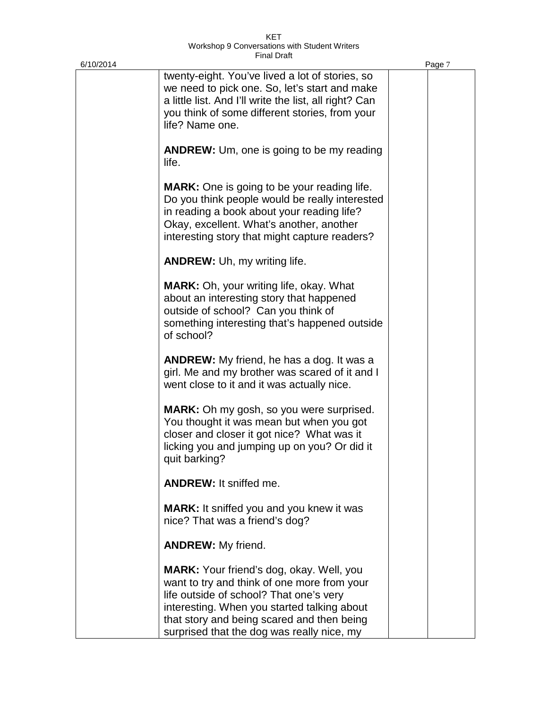| 6/10/2014 |                                                                                                                                                                                                                                                                                      | Page 7 |
|-----------|--------------------------------------------------------------------------------------------------------------------------------------------------------------------------------------------------------------------------------------------------------------------------------------|--------|
|           | twenty-eight. You've lived a lot of stories, so<br>we need to pick one. So, let's start and make<br>a little list. And I'll write the list, all right? Can<br>you think of some different stories, from your<br>life? Name one.                                                      |        |
|           | <b>ANDREW:</b> Um, one is going to be my reading<br>life.                                                                                                                                                                                                                            |        |
|           | <b>MARK:</b> One is going to be your reading life.<br>Do you think people would be really interested<br>in reading a book about your reading life?<br>Okay, excellent. What's another, another<br>interesting story that might capture readers?                                      |        |
|           | <b>ANDREW:</b> Uh, my writing life.                                                                                                                                                                                                                                                  |        |
|           | <b>MARK:</b> Oh, your writing life, okay. What<br>about an interesting story that happened<br>outside of school? Can you think of<br>something interesting that's happened outside<br>of school?                                                                                     |        |
|           | <b>ANDREW:</b> My friend, he has a dog. It was a<br>girl. Me and my brother was scared of it and I<br>went close to it and it was actually nice.                                                                                                                                     |        |
|           | <b>MARK:</b> Oh my gosh, so you were surprised.<br>You thought it was mean but when you got<br>closer and closer it got nice? What was it<br>licking you and jumping up on you? Or did it<br>quit barking?                                                                           |        |
|           | <b>ANDREW:</b> It sniffed me.                                                                                                                                                                                                                                                        |        |
|           | <b>MARK:</b> It sniffed you and you knew it was<br>nice? That was a friend's dog?                                                                                                                                                                                                    |        |
|           | <b>ANDREW:</b> My friend.                                                                                                                                                                                                                                                            |        |
|           | <b>MARK:</b> Your friend's dog, okay. Well, you<br>want to try and think of one more from your<br>life outside of school? That one's very<br>interesting. When you started talking about<br>that story and being scared and then being<br>surprised that the dog was really nice, my |        |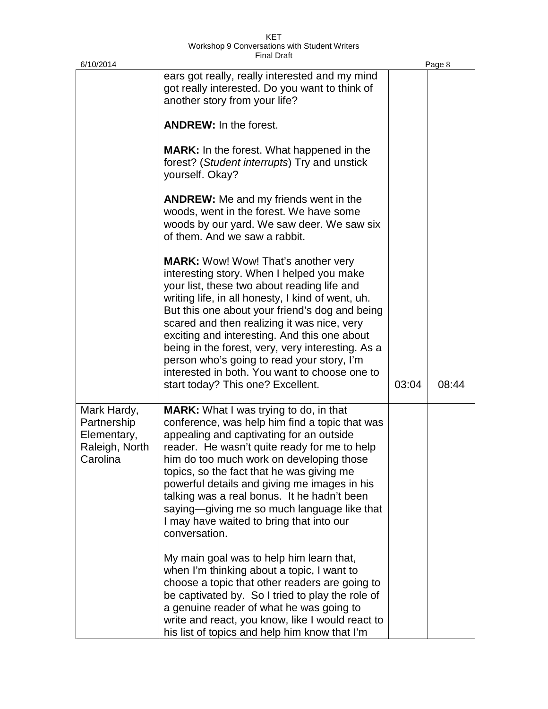| 6/10/2014                                                               |                                                                                                                                                                                                                                                                                                                                                                                                                                                                                                                                                                                                                                                                                                                                                                                                                                                  |       | Page 8 |
|-------------------------------------------------------------------------|--------------------------------------------------------------------------------------------------------------------------------------------------------------------------------------------------------------------------------------------------------------------------------------------------------------------------------------------------------------------------------------------------------------------------------------------------------------------------------------------------------------------------------------------------------------------------------------------------------------------------------------------------------------------------------------------------------------------------------------------------------------------------------------------------------------------------------------------------|-------|--------|
|                                                                         | ears got really, really interested and my mind<br>got really interested. Do you want to think of<br>another story from your life?                                                                                                                                                                                                                                                                                                                                                                                                                                                                                                                                                                                                                                                                                                                |       |        |
|                                                                         | <b>ANDREW:</b> In the forest.                                                                                                                                                                                                                                                                                                                                                                                                                                                                                                                                                                                                                                                                                                                                                                                                                    |       |        |
|                                                                         | <b>MARK:</b> In the forest. What happened in the<br>forest? (Student interrupts) Try and unstick<br>yourself. Okay?                                                                                                                                                                                                                                                                                                                                                                                                                                                                                                                                                                                                                                                                                                                              |       |        |
|                                                                         | <b>ANDREW:</b> Me and my friends went in the<br>woods, went in the forest. We have some<br>woods by our yard. We saw deer. We saw six<br>of them. And we saw a rabbit.                                                                                                                                                                                                                                                                                                                                                                                                                                                                                                                                                                                                                                                                           |       |        |
|                                                                         | <b>MARK:</b> Wow! Wow! That's another very<br>interesting story. When I helped you make<br>your list, these two about reading life and<br>writing life, in all honesty, I kind of went, uh.<br>But this one about your friend's dog and being<br>scared and then realizing it was nice, very<br>exciting and interesting. And this one about<br>being in the forest, very, very interesting. As a<br>person who's going to read your story, I'm<br>interested in both. You want to choose one to<br>start today? This one? Excellent.                                                                                                                                                                                                                                                                                                            | 03:04 | 08:44  |
| Mark Hardy,<br>Partnership<br>Elementary,<br>Raleigh, North<br>Carolina | <b>MARK:</b> What I was trying to do, in that<br>conference, was help him find a topic that was<br>appealing and captivating for an outside<br>reader. He wasn't quite ready for me to help<br>him do too much work on developing those<br>topics, so the fact that he was giving me<br>powerful details and giving me images in his<br>talking was a real bonus. It he hadn't been<br>saying—giving me so much language like that<br>I may have waited to bring that into our<br>conversation.<br>My main goal was to help him learn that,<br>when I'm thinking about a topic, I want to<br>choose a topic that other readers are going to<br>be captivated by. So I tried to play the role of<br>a genuine reader of what he was going to<br>write and react, you know, like I would react to<br>his list of topics and help him know that I'm |       |        |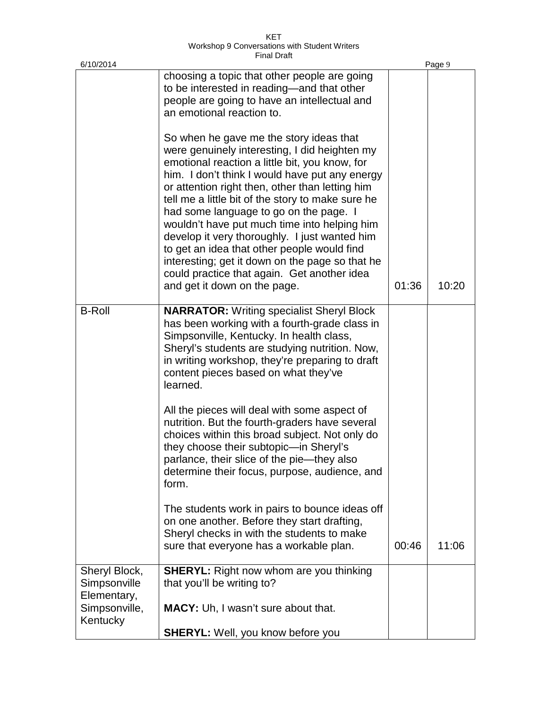| KFT                                           |  |
|-----------------------------------------------|--|
| Workshop 9 Conversations with Student Writers |  |
| <b>Final Draft</b>                            |  |

| 6/10/2014                                    |                                                                                                                                                                                                                                                                                                                                                                                                                                                                                                                                                                                                                                  |       | Page 9 |
|----------------------------------------------|----------------------------------------------------------------------------------------------------------------------------------------------------------------------------------------------------------------------------------------------------------------------------------------------------------------------------------------------------------------------------------------------------------------------------------------------------------------------------------------------------------------------------------------------------------------------------------------------------------------------------------|-------|--------|
|                                              | choosing a topic that other people are going<br>to be interested in reading—and that other<br>people are going to have an intellectual and<br>an emotional reaction to.                                                                                                                                                                                                                                                                                                                                                                                                                                                          |       |        |
|                                              | So when he gave me the story ideas that<br>were genuinely interesting, I did heighten my<br>emotional reaction a little bit, you know, for<br>him. I don't think I would have put any energy<br>or attention right then, other than letting him<br>tell me a little bit of the story to make sure he<br>had some language to go on the page. I<br>wouldn't have put much time into helping him<br>develop it very thoroughly. I just wanted him<br>to get an idea that other people would find<br>interesting; get it down on the page so that he<br>could practice that again. Get another idea<br>and get it down on the page. | 01:36 | 10:20  |
| <b>B-Roll</b>                                | <b>NARRATOR:</b> Writing specialist Sheryl Block<br>has been working with a fourth-grade class in<br>Simpsonville, Kentucky. In health class,<br>Sheryl's students are studying nutrition. Now,<br>in writing workshop, they're preparing to draft<br>content pieces based on what they've<br>learned.                                                                                                                                                                                                                                                                                                                           |       |        |
|                                              | All the pieces will deal with some aspect of<br>nutrition. But the fourth-graders have several<br>choices within this broad subject. Not only do<br>they choose their subtopic-in Sheryl's<br>parlance, their slice of the pie-they also<br>determine their focus, purpose, audience, and<br>form.                                                                                                                                                                                                                                                                                                                               |       |        |
|                                              | The students work in pairs to bounce ideas off<br>on one another. Before they start drafting,<br>Sheryl checks in with the students to make<br>sure that everyone has a workable plan.                                                                                                                                                                                                                                                                                                                                                                                                                                           | 00:46 | 11:06  |
| Sheryl Block,<br>Simpsonville<br>Elementary, | <b>SHERYL:</b> Right now whom are you thinking<br>that you'll be writing to?                                                                                                                                                                                                                                                                                                                                                                                                                                                                                                                                                     |       |        |
| Simpsonville,<br>Kentucky                    | <b>MACY:</b> Uh, I wasn't sure about that.<br><b>SHERYL:</b> Well, you know before you                                                                                                                                                                                                                                                                                                                                                                                                                                                                                                                                           |       |        |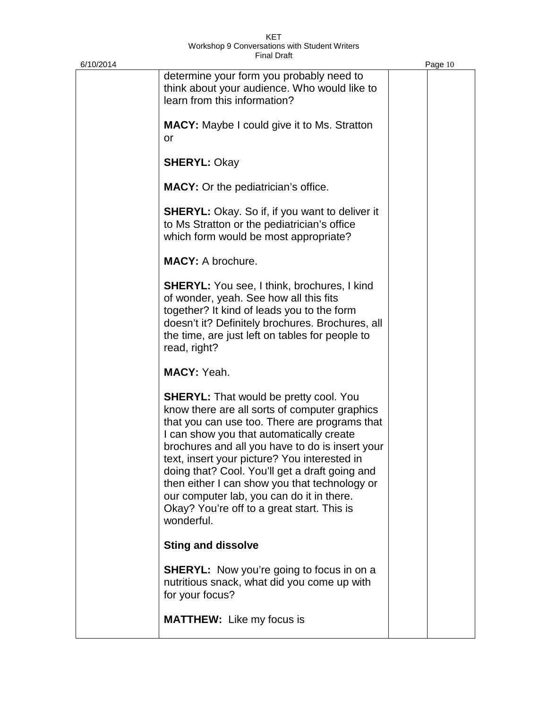| 6/10/2014 |                                                                                                                                                                                                                                                                                                                                                                                                                                                                                                            | Page 10 |
|-----------|------------------------------------------------------------------------------------------------------------------------------------------------------------------------------------------------------------------------------------------------------------------------------------------------------------------------------------------------------------------------------------------------------------------------------------------------------------------------------------------------------------|---------|
|           | determine your form you probably need to<br>think about your audience. Who would like to<br>learn from this information?                                                                                                                                                                                                                                                                                                                                                                                   |         |
|           | <b>MACY:</b> Maybe I could give it to Ms. Stratton<br>or                                                                                                                                                                                                                                                                                                                                                                                                                                                   |         |
|           | <b>SHERYL: Okay</b>                                                                                                                                                                                                                                                                                                                                                                                                                                                                                        |         |
|           | <b>MACY:</b> Or the pediatrician's office.                                                                                                                                                                                                                                                                                                                                                                                                                                                                 |         |
|           | <b>SHERYL:</b> Okay. So if, if you want to deliver it<br>to Ms Stratton or the pediatrician's office<br>which form would be most appropriate?                                                                                                                                                                                                                                                                                                                                                              |         |
|           | <b>MACY: A brochure.</b>                                                                                                                                                                                                                                                                                                                                                                                                                                                                                   |         |
|           | <b>SHERYL:</b> You see, I think, brochures, I kind<br>of wonder, yeah. See how all this fits<br>together? It kind of leads you to the form<br>doesn't it? Definitely brochures. Brochures, all<br>the time, are just left on tables for people to<br>read, right?                                                                                                                                                                                                                                          |         |
|           | <b>MACY: Yeah.</b>                                                                                                                                                                                                                                                                                                                                                                                                                                                                                         |         |
|           | <b>SHERYL:</b> That would be pretty cool. You<br>know there are all sorts of computer graphics<br>that you can use too. There are programs that<br>I can show you that automatically create<br>brochures and all you have to do is insert your<br>text, insert your picture? You interested in<br>doing that? Cool. You'll get a draft going and<br>then either I can show you that technology or<br>our computer lab, you can do it in there.<br>Okay? You're off to a great start. This is<br>wonderful. |         |
|           | <b>Sting and dissolve</b>                                                                                                                                                                                                                                                                                                                                                                                                                                                                                  |         |
|           | <b>SHERYL:</b> Now you're going to focus in on a<br>nutritious snack, what did you come up with<br>for your focus?                                                                                                                                                                                                                                                                                                                                                                                         |         |
|           | <b>MATTHEW:</b> Like my focus is                                                                                                                                                                                                                                                                                                                                                                                                                                                                           |         |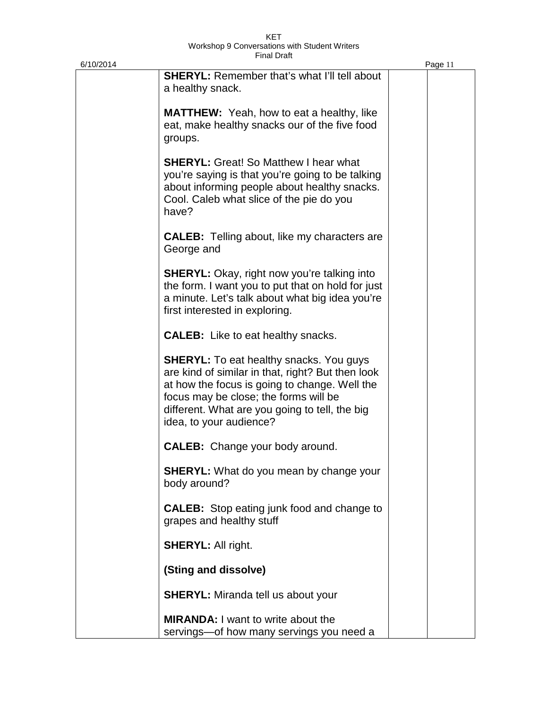| 6/10/2014 |                                                                                                                                                                                                                                                                            | Page 11 |
|-----------|----------------------------------------------------------------------------------------------------------------------------------------------------------------------------------------------------------------------------------------------------------------------------|---------|
|           | <b>SHERYL:</b> Remember that's what I'll tell about<br>a healthy snack.                                                                                                                                                                                                    |         |
|           | <b>MATTHEW:</b> Yeah, how to eat a healthy, like<br>eat, make healthy snacks our of the five food<br>groups.                                                                                                                                                               |         |
|           | <b>SHERYL:</b> Great! So Matthew I hear what<br>you're saying is that you're going to be talking<br>about informing people about healthy snacks.<br>Cool. Caleb what slice of the pie do you<br>have?                                                                      |         |
|           | <b>CALEB:</b> Telling about, like my characters are<br>George and                                                                                                                                                                                                          |         |
|           | <b>SHERYL:</b> Okay, right now you're talking into<br>the form. I want you to put that on hold for just<br>a minute. Let's talk about what big idea you're<br>first interested in exploring.                                                                               |         |
|           | <b>CALEB:</b> Like to eat healthy snacks.                                                                                                                                                                                                                                  |         |
|           | <b>SHERYL:</b> To eat healthy snacks. You guys<br>are kind of similar in that, right? But then look<br>at how the focus is going to change. Well the<br>focus may be close; the forms will be<br>different. What are you going to tell, the big<br>idea, to your audience? |         |
|           | <b>CALEB:</b> Change your body around.                                                                                                                                                                                                                                     |         |
|           | <b>SHERYL:</b> What do you mean by change your<br>body around?                                                                                                                                                                                                             |         |
|           | <b>CALEB:</b> Stop eating junk food and change to<br>grapes and healthy stuff                                                                                                                                                                                              |         |
|           | <b>SHERYL: All right.</b>                                                                                                                                                                                                                                                  |         |
|           | (Sting and dissolve)                                                                                                                                                                                                                                                       |         |
|           | <b>SHERYL:</b> Miranda tell us about your                                                                                                                                                                                                                                  |         |
|           | <b>MIRANDA:</b> I want to write about the<br>servings-of how many servings you need a                                                                                                                                                                                      |         |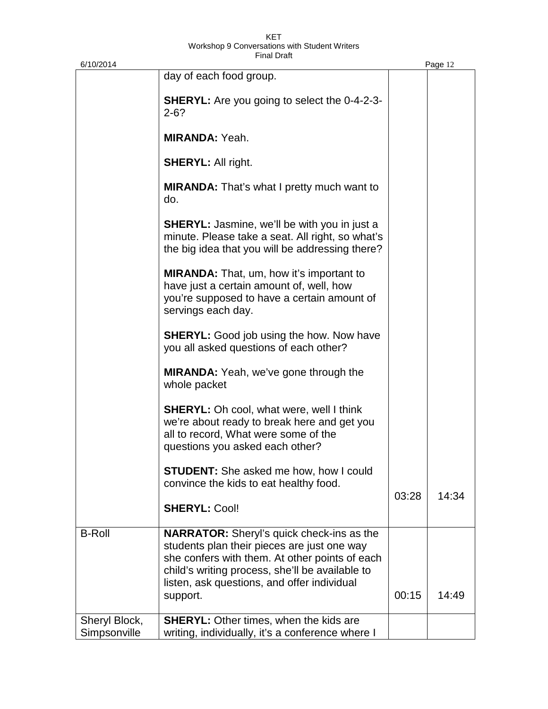| 6/10/2014                     |                                                                                                                                                                                                                                                                 |       | Page 12 |
|-------------------------------|-----------------------------------------------------------------------------------------------------------------------------------------------------------------------------------------------------------------------------------------------------------------|-------|---------|
|                               | day of each food group.                                                                                                                                                                                                                                         |       |         |
|                               | <b>SHERYL:</b> Are you going to select the 0-4-2-3-<br>$2 - 6?$                                                                                                                                                                                                 |       |         |
|                               | <b>MIRANDA: Yeah.</b>                                                                                                                                                                                                                                           |       |         |
|                               | <b>SHERYL: All right.</b>                                                                                                                                                                                                                                       |       |         |
|                               | <b>MIRANDA:</b> That's what I pretty much want to<br>do.                                                                                                                                                                                                        |       |         |
|                               | <b>SHERYL:</b> Jasmine, we'll be with you in just a<br>minute. Please take a seat. All right, so what's<br>the big idea that you will be addressing there?                                                                                                      |       |         |
|                               | <b>MIRANDA:</b> That, um, how it's important to<br>have just a certain amount of, well, how<br>you're supposed to have a certain amount of<br>servings each day.                                                                                                |       |         |
|                               | <b>SHERYL:</b> Good job using the how. Now have<br>you all asked questions of each other?                                                                                                                                                                       |       |         |
|                               | <b>MIRANDA:</b> Yeah, we've gone through the<br>whole packet                                                                                                                                                                                                    |       |         |
|                               | <b>SHERYL:</b> Oh cool, what were, well I think<br>we're about ready to break here and get you<br>all to record, What were some of the<br>questions you asked each other?                                                                                       |       |         |
|                               | <b>STUDENT:</b> She asked me how, how I could<br>convince the kids to eat healthy food.                                                                                                                                                                         | 03:28 | 14:34   |
|                               | <b>SHERYL: Cool!</b>                                                                                                                                                                                                                                            |       |         |
| <b>B-Roll</b>                 | <b>NARRATOR:</b> Sheryl's quick check-ins as the<br>students plan their pieces are just one way<br>she confers with them. At other points of each<br>child's writing process, she'll be available to<br>listen, ask questions, and offer individual<br>support. | 00:15 | 14:49   |
| Sheryl Block,<br>Simpsonville | <b>SHERYL:</b> Other times, when the kids are<br>writing, individually, it's a conference where I                                                                                                                                                               |       |         |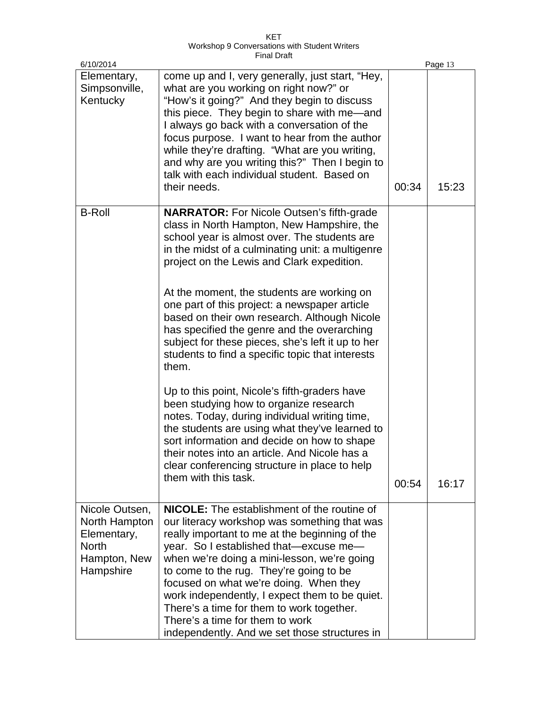KET Workshop 9 Conversations with Student Writers Final Draft

| 6/10/2014                                                                                   |                                                                                                                                                                                                                                                                                                                                                                                                                                                                                                                                                                  |       | Page 13 |
|---------------------------------------------------------------------------------------------|------------------------------------------------------------------------------------------------------------------------------------------------------------------------------------------------------------------------------------------------------------------------------------------------------------------------------------------------------------------------------------------------------------------------------------------------------------------------------------------------------------------------------------------------------------------|-------|---------|
| Elementary,<br>Simpsonville,<br>Kentucky                                                    | come up and I, very generally, just start, "Hey,<br>what are you working on right now?" or<br>"How's it going?" And they begin to discuss<br>this piece. They begin to share with me-and<br>I always go back with a conversation of the<br>focus purpose. I want to hear from the author<br>while they're drafting. "What are you writing,<br>and why are you writing this?" Then I begin to<br>talk with each individual student. Based on<br>their needs.                                                                                                      | 00:34 | 15:23   |
| <b>B-Roll</b>                                                                               | <b>NARRATOR:</b> For Nicole Outsen's fifth-grade<br>class in North Hampton, New Hampshire, the<br>school year is almost over. The students are<br>in the midst of a culminating unit: a multigenre<br>project on the Lewis and Clark expedition.<br>At the moment, the students are working on<br>one part of this project: a newspaper article<br>based on their own research. Although Nicole<br>has specified the genre and the overarching<br>subject for these pieces, she's left it up to her<br>students to find a specific topic that interests<br>them. |       |         |
|                                                                                             | Up to this point, Nicole's fifth-graders have<br>been studying how to organize research<br>notes. Today, during individual writing time,<br>the students are using what they've learned to<br>sort information and decide on how to shape<br>their notes into an article. And Nicole has a<br>clear conferencing structure in place to help<br>them with this task.                                                                                                                                                                                              | 00:54 | 16:17   |
| Nicole Outsen,<br>North Hampton<br>Elementary,<br><b>North</b><br>Hampton, New<br>Hampshire | NICOLE: The establishment of the routine of<br>our literacy workshop was something that was<br>really important to me at the beginning of the<br>year. So I established that-excuse me-<br>when we're doing a mini-lesson, we're going<br>to come to the rug. They're going to be<br>focused on what we're doing. When they<br>work independently, I expect them to be quiet.<br>There's a time for them to work together.<br>There's a time for them to work<br>independently. And we set those structures in                                                   |       |         |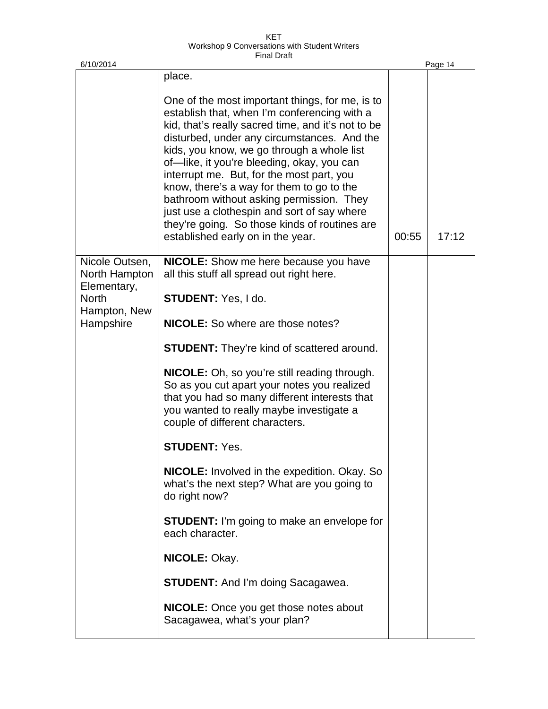| 6/10/2014                                      |                                                                                                                                                                                                                                                                                                                                                                                                                                                                                                                                                                             |       | Page 14 |
|------------------------------------------------|-----------------------------------------------------------------------------------------------------------------------------------------------------------------------------------------------------------------------------------------------------------------------------------------------------------------------------------------------------------------------------------------------------------------------------------------------------------------------------------------------------------------------------------------------------------------------------|-------|---------|
|                                                | place.                                                                                                                                                                                                                                                                                                                                                                                                                                                                                                                                                                      |       |         |
|                                                | One of the most important things, for me, is to<br>establish that, when I'm conferencing with a<br>kid, that's really sacred time, and it's not to be<br>disturbed, under any circumstances. And the<br>kids, you know, we go through a whole list<br>of-like, it you're bleeding, okay, you can<br>interrupt me. But, for the most part, you<br>know, there's a way for them to go to the<br>bathroom without asking permission. They<br>just use a clothespin and sort of say where<br>they're going. So those kinds of routines are<br>established early on in the year. | 00:55 | 17:12   |
| Nicole Outsen,<br>North Hampton<br>Elementary, | <b>NICOLE:</b> Show me here because you have<br>all this stuff all spread out right here.                                                                                                                                                                                                                                                                                                                                                                                                                                                                                   |       |         |
| <b>North</b><br>Hampton, New                   | STUDENT: Yes, I do.                                                                                                                                                                                                                                                                                                                                                                                                                                                                                                                                                         |       |         |
| Hampshire                                      | <b>NICOLE:</b> So where are those notes?                                                                                                                                                                                                                                                                                                                                                                                                                                                                                                                                    |       |         |
|                                                | <b>STUDENT:</b> They're kind of scattered around.                                                                                                                                                                                                                                                                                                                                                                                                                                                                                                                           |       |         |
|                                                | <b>NICOLE:</b> Oh, so you're still reading through.<br>So as you cut apart your notes you realized<br>that you had so many different interests that<br>you wanted to really maybe investigate a<br>couple of different characters.                                                                                                                                                                                                                                                                                                                                          |       |         |
|                                                | <b>STUDENT: Yes.</b>                                                                                                                                                                                                                                                                                                                                                                                                                                                                                                                                                        |       |         |
|                                                | <b>NICOLE:</b> Involved in the expedition. Okay. So<br>what's the next step? What are you going to<br>do right now?                                                                                                                                                                                                                                                                                                                                                                                                                                                         |       |         |
|                                                | <b>STUDENT:</b> I'm going to make an envelope for<br>each character.                                                                                                                                                                                                                                                                                                                                                                                                                                                                                                        |       |         |
|                                                | NICOLE: Okay.                                                                                                                                                                                                                                                                                                                                                                                                                                                                                                                                                               |       |         |
|                                                | <b>STUDENT:</b> And I'm doing Sacagawea.                                                                                                                                                                                                                                                                                                                                                                                                                                                                                                                                    |       |         |
|                                                | NICOLE: Once you get those notes about<br>Sacagawea, what's your plan?                                                                                                                                                                                                                                                                                                                                                                                                                                                                                                      |       |         |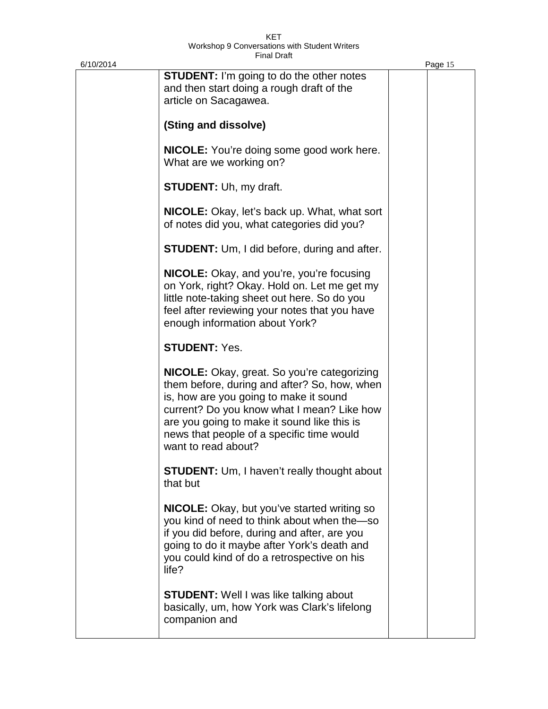| 6/10/2014 |                                                                                                                                                                                                                                                                                                               | Page 15 |
|-----------|---------------------------------------------------------------------------------------------------------------------------------------------------------------------------------------------------------------------------------------------------------------------------------------------------------------|---------|
|           | <b>STUDENT:</b> I'm going to do the other notes<br>and then start doing a rough draft of the<br>article on Sacagawea.                                                                                                                                                                                         |         |
|           | (Sting and dissolve)                                                                                                                                                                                                                                                                                          |         |
|           | <b>NICOLE:</b> You're doing some good work here.<br>What are we working on?                                                                                                                                                                                                                                   |         |
|           | <b>STUDENT: Uh, my draft.</b>                                                                                                                                                                                                                                                                                 |         |
|           | <b>NICOLE:</b> Okay, let's back up. What, what sort<br>of notes did you, what categories did you?                                                                                                                                                                                                             |         |
|           | <b>STUDENT:</b> Um, I did before, during and after.                                                                                                                                                                                                                                                           |         |
|           | <b>NICOLE:</b> Okay, and you're, you're focusing<br>on York, right? Okay. Hold on. Let me get my<br>little note-taking sheet out here. So do you<br>feel after reviewing your notes that you have<br>enough information about York?                                                                           |         |
|           | <b>STUDENT: Yes.</b>                                                                                                                                                                                                                                                                                          |         |
|           | <b>NICOLE:</b> Okay, great. So you're categorizing<br>them before, during and after? So, how, when<br>is, how are you going to make it sound<br>current? Do you know what I mean? Like how<br>are you going to make it sound like this is<br>news that people of a specific time would<br>want to read about? |         |
|           | <b>STUDENT:</b> Um, I haven't really thought about<br>that but                                                                                                                                                                                                                                                |         |
|           | <b>NICOLE:</b> Okay, but you've started writing so<br>you kind of need to think about when the so<br>if you did before, during and after, are you<br>going to do it maybe after York's death and<br>you could kind of do a retrospective on his<br>life?                                                      |         |
|           | <b>STUDENT:</b> Well I was like talking about<br>basically, um, how York was Clark's lifelong<br>companion and                                                                                                                                                                                                |         |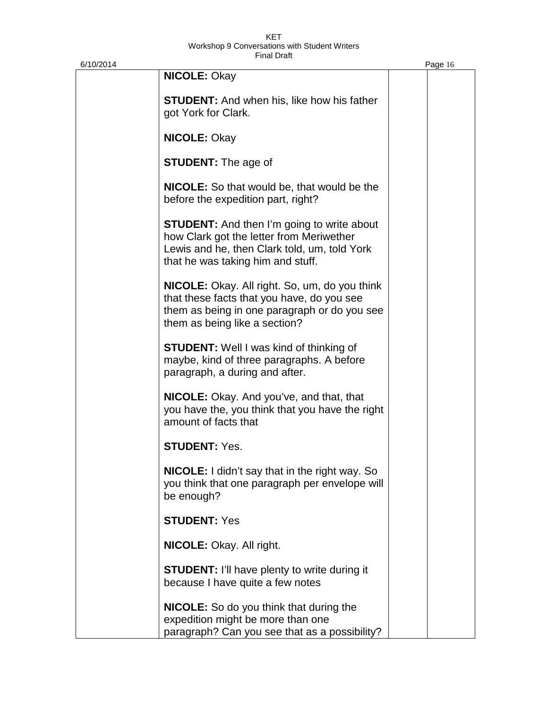| 6/10/2014 |                                                                                                                                                                                     | Page 16 |
|-----------|-------------------------------------------------------------------------------------------------------------------------------------------------------------------------------------|---------|
|           | <b>NICOLE: Okay</b>                                                                                                                                                                 |         |
|           | <b>STUDENT:</b> And when his, like how his father<br>got York for Clark.                                                                                                            |         |
|           | <b>NICOLE: Okay</b>                                                                                                                                                                 |         |
|           | <b>STUDENT:</b> The age of                                                                                                                                                          |         |
|           | <b>NICOLE:</b> So that would be, that would be the<br>before the expedition part, right?                                                                                            |         |
|           | <b>STUDENT:</b> And then I'm going to write about<br>how Clark got the letter from Meriwether<br>Lewis and he, then Clark told, um, told York<br>that he was taking him and stuff.  |         |
|           | <b>NICOLE:</b> Okay. All right. So, um, do you think<br>that these facts that you have, do you see<br>them as being in one paragraph or do you see<br>them as being like a section? |         |
|           | <b>STUDENT:</b> Well I was kind of thinking of<br>maybe, kind of three paragraphs. A before<br>paragraph, a during and after.                                                       |         |
|           | <b>NICOLE:</b> Okay. And you've, and that, that<br>you have the, you think that you have the right<br>amount of facts that                                                          |         |
|           | <b>STUDENT: Yes.</b>                                                                                                                                                                |         |
|           | <b>NICOLE:</b> I didn't say that in the right way. So<br>you think that one paragraph per envelope will<br>be enough?                                                               |         |
|           | <b>STUDENT: Yes</b>                                                                                                                                                                 |         |
|           | <b>NICOLE:</b> Okay. All right.                                                                                                                                                     |         |
|           | <b>STUDENT: I'll have plenty to write during it</b><br>because I have quite a few notes                                                                                             |         |
|           | NICOLE: So do you think that during the<br>expedition might be more than one<br>paragraph? Can you see that as a possibility?                                                       |         |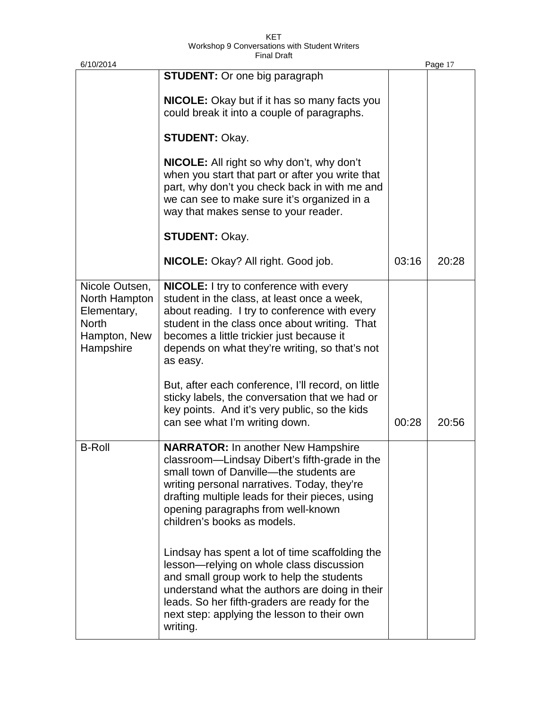| 6/10/2014                                                                                   |                                                                                                                                                                                                                                                                                                               |       | Page 17 |
|---------------------------------------------------------------------------------------------|---------------------------------------------------------------------------------------------------------------------------------------------------------------------------------------------------------------------------------------------------------------------------------------------------------------|-------|---------|
|                                                                                             | <b>STUDENT:</b> Or one big paragraph                                                                                                                                                                                                                                                                          |       |         |
|                                                                                             | <b>NICOLE:</b> Okay but if it has so many facts you<br>could break it into a couple of paragraphs.                                                                                                                                                                                                            |       |         |
|                                                                                             | <b>STUDENT: Okay.</b>                                                                                                                                                                                                                                                                                         |       |         |
|                                                                                             | <b>NICOLE:</b> All right so why don't, why don't<br>when you start that part or after you write that<br>part, why don't you check back in with me and<br>we can see to make sure it's organized in a<br>way that makes sense to your reader.                                                                  |       |         |
|                                                                                             | <b>STUDENT: Okay.</b>                                                                                                                                                                                                                                                                                         |       |         |
|                                                                                             | <b>NICOLE:</b> Okay? All right. Good job.                                                                                                                                                                                                                                                                     | 03:16 | 20:28   |
| Nicole Outsen,<br>North Hampton<br>Elementary,<br><b>North</b><br>Hampton, New<br>Hampshire | <b>NICOLE:</b> I try to conference with every<br>student in the class, at least once a week,<br>about reading. I try to conference with every<br>student in the class once about writing. That<br>becomes a little trickier just because it<br>depends on what they're writing, so that's not<br>as easy.     |       |         |
|                                                                                             | But, after each conference, I'll record, on little<br>sticky labels, the conversation that we had or<br>key points. And it's very public, so the kids<br>can see what I'm writing down.                                                                                                                       | 00:28 | 20:56   |
| <b>B-Roll</b>                                                                               | <b>NARRATOR: In another New Hampshire</b><br>classroom-Lindsay Dibert's fifth-grade in the<br>small town of Danville--the students are<br>writing personal narratives. Today, they're<br>drafting multiple leads for their pieces, using<br>opening paragraphs from well-known<br>children's books as models. |       |         |
|                                                                                             | Lindsay has spent a lot of time scaffolding the<br>lesson-relying on whole class discussion<br>and small group work to help the students<br>understand what the authors are doing in their<br>leads. So her fifth-graders are ready for the<br>next step: applying the lesson to their own<br>writing.        |       |         |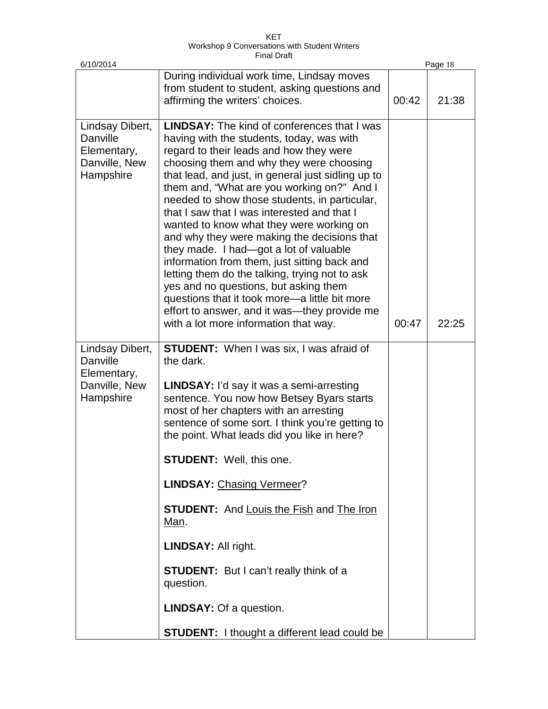KET Workshop 9 Conversations with Student Writers Final Draft

| 6/10/2014                                                                |                                                                                                                                                                                                                                                                                                                                                                                                                                                                                                                                                                                                                                                                                                                                                                                                                      |       | Page 18 |
|--------------------------------------------------------------------------|----------------------------------------------------------------------------------------------------------------------------------------------------------------------------------------------------------------------------------------------------------------------------------------------------------------------------------------------------------------------------------------------------------------------------------------------------------------------------------------------------------------------------------------------------------------------------------------------------------------------------------------------------------------------------------------------------------------------------------------------------------------------------------------------------------------------|-------|---------|
|                                                                          | During individual work time, Lindsay moves<br>from student to student, asking questions and<br>affirming the writers' choices.                                                                                                                                                                                                                                                                                                                                                                                                                                                                                                                                                                                                                                                                                       | 00:42 | 21:38   |
| Lindsay Dibert,<br>Danville<br>Elementary,<br>Danville, New<br>Hampshire | <b>LINDSAY:</b> The kind of conferences that I was<br>having with the students, today, was with<br>regard to their leads and how they were<br>choosing them and why they were choosing<br>that lead, and just, in general just sidling up to<br>them and, "What are you working on?" And I<br>needed to show those students, in particular,<br>that I saw that I was interested and that I<br>wanted to know what they were working on<br>and why they were making the decisions that<br>they made. I had-got a lot of valuable<br>information from them, just sitting back and<br>letting them do the talking, trying not to ask<br>yes and no questions, but asking them<br>questions that it took more-a little bit more<br>effort to answer, and it was—they provide me<br>with a lot more information that way. | 00:47 | 22:25   |
| Lindsay Dibert,<br>Danville<br>Elementary,<br>Danville, New<br>Hampshire | <b>STUDENT:</b> When I was six, I was afraid of<br>the dark.<br><b>LINDSAY:</b> I'd say it was a semi-arresting<br>sentence. You now how Betsey Byars starts<br>most of her chapters with an arresting<br>sentence of some sort. I think you're getting to<br>the point. What leads did you like in here?<br><b>STUDENT:</b> Well, this one.<br><b>LINDSAY: Chasing Vermeer?</b><br><b>STUDENT:</b> And Louis the Fish and The Iron<br>Man.<br><b>LINDSAY: All right.</b>                                                                                                                                                                                                                                                                                                                                            |       |         |
|                                                                          | <b>STUDENT:</b> But I can't really think of a<br>question.<br><b>LINDSAY: Of a question.</b>                                                                                                                                                                                                                                                                                                                                                                                                                                                                                                                                                                                                                                                                                                                         |       |         |
|                                                                          | <b>STUDENT:</b> I thought a different lead could be                                                                                                                                                                                                                                                                                                                                                                                                                                                                                                                                                                                                                                                                                                                                                                  |       |         |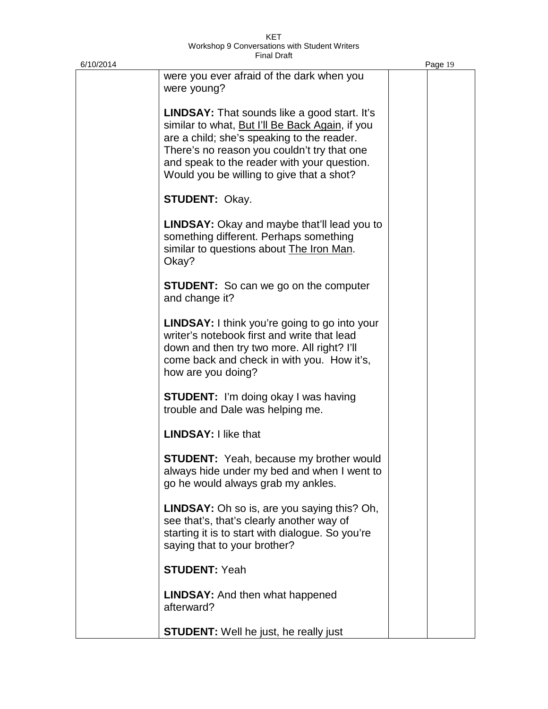| 6/10/2014 |                                                                                                                                                                                                                                                                                                 | Page 19 |
|-----------|-------------------------------------------------------------------------------------------------------------------------------------------------------------------------------------------------------------------------------------------------------------------------------------------------|---------|
|           | were you ever afraid of the dark when you<br>were young?                                                                                                                                                                                                                                        |         |
|           | <b>LINDSAY:</b> That sounds like a good start. It's<br>similar to what, But I'll Be Back Again, if you<br>are a child; she's speaking to the reader.<br>There's no reason you couldn't try that one<br>and speak to the reader with your question.<br>Would you be willing to give that a shot? |         |
|           | <b>STUDENT: Okay.</b>                                                                                                                                                                                                                                                                           |         |
|           | <b>LINDSAY:</b> Okay and maybe that'll lead you to<br>something different. Perhaps something<br>similar to questions about The Iron Man.<br>Okay?                                                                                                                                               |         |
|           | <b>STUDENT:</b> So can we go on the computer<br>and change it?                                                                                                                                                                                                                                  |         |
|           | <b>LINDSAY:</b> I think you're going to go into your<br>writer's notebook first and write that lead<br>down and then try two more. All right? I'll<br>come back and check in with you. How it's,<br>how are you doing?                                                                          |         |
|           | <b>STUDENT:</b> I'm doing okay I was having<br>trouble and Dale was helping me.                                                                                                                                                                                                                 |         |
|           | <b>LINDSAY: I like that</b>                                                                                                                                                                                                                                                                     |         |
|           | <b>STUDENT:</b> Yeah, because my brother would<br>always hide under my bed and when I went to<br>go he would always grab my ankles.                                                                                                                                                             |         |
|           | <b>LINDSAY:</b> Oh so is, are you saying this? Oh,<br>see that's, that's clearly another way of<br>starting it is to start with dialogue. So you're<br>saying that to your brother?                                                                                                             |         |
|           | <b>STUDENT: Yeah</b>                                                                                                                                                                                                                                                                            |         |
|           | <b>LINDSAY:</b> And then what happened<br>afterward?                                                                                                                                                                                                                                            |         |
|           | <b>STUDENT:</b> Well he just, he really just                                                                                                                                                                                                                                                    |         |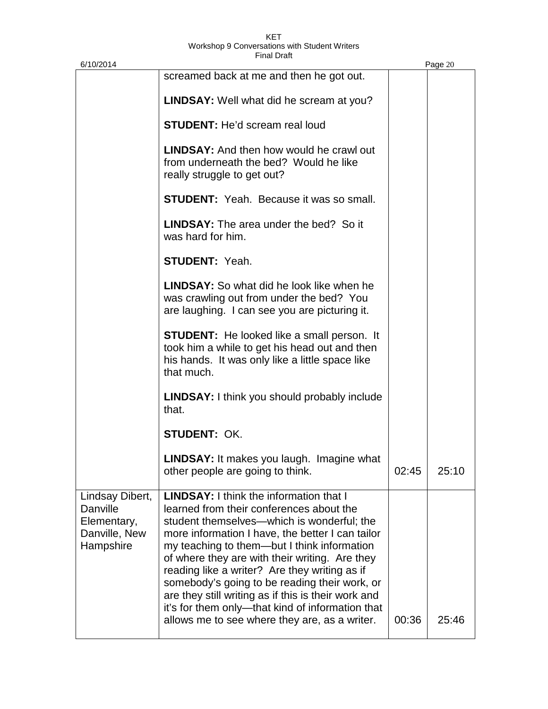| 6/10/2014                                                                |                                                                                                                                                                                                                                                                                                                                                                                                                                                                                                                                                             |       | Page 20 |
|--------------------------------------------------------------------------|-------------------------------------------------------------------------------------------------------------------------------------------------------------------------------------------------------------------------------------------------------------------------------------------------------------------------------------------------------------------------------------------------------------------------------------------------------------------------------------------------------------------------------------------------------------|-------|---------|
|                                                                          | screamed back at me and then he got out.                                                                                                                                                                                                                                                                                                                                                                                                                                                                                                                    |       |         |
|                                                                          | <b>LINDSAY:</b> Well what did he scream at you?                                                                                                                                                                                                                                                                                                                                                                                                                                                                                                             |       |         |
|                                                                          | <b>STUDENT:</b> He'd scream real loud                                                                                                                                                                                                                                                                                                                                                                                                                                                                                                                       |       |         |
|                                                                          | <b>LINDSAY:</b> And then how would he crawl out<br>from underneath the bed? Would he like<br>really struggle to get out?                                                                                                                                                                                                                                                                                                                                                                                                                                    |       |         |
|                                                                          | <b>STUDENT:</b> Yeah. Because it was so small.                                                                                                                                                                                                                                                                                                                                                                                                                                                                                                              |       |         |
|                                                                          | <b>LINDSAY:</b> The area under the bed? So it<br>was hard for him.                                                                                                                                                                                                                                                                                                                                                                                                                                                                                          |       |         |
|                                                                          | <b>STUDENT: Yeah.</b>                                                                                                                                                                                                                                                                                                                                                                                                                                                                                                                                       |       |         |
|                                                                          | <b>LINDSAY:</b> So what did he look like when he<br>was crawling out from under the bed? You<br>are laughing. I can see you are picturing it.                                                                                                                                                                                                                                                                                                                                                                                                               |       |         |
|                                                                          | <b>STUDENT:</b> He looked like a small person. It<br>took him a while to get his head out and then<br>his hands. It was only like a little space like<br>that much.                                                                                                                                                                                                                                                                                                                                                                                         |       |         |
|                                                                          | <b>LINDSAY:</b> I think you should probably include<br>that.                                                                                                                                                                                                                                                                                                                                                                                                                                                                                                |       |         |
|                                                                          | <b>STUDENT: OK.</b>                                                                                                                                                                                                                                                                                                                                                                                                                                                                                                                                         |       |         |
|                                                                          | <b>LINDSAY:</b> It makes you laugh. Imagine what<br>other people are going to think.                                                                                                                                                                                                                                                                                                                                                                                                                                                                        | 02:45 | 25:10   |
| Lindsay Dibert,<br>Danville<br>Elementary,<br>Danville, New<br>Hampshire | <b>LINDSAY:</b> I think the information that I<br>learned from their conferences about the<br>student themselves—which is wonderful; the<br>more information I have, the better I can tailor<br>my teaching to them—but I think information<br>of where they are with their writing. Are they<br>reading like a writer? Are they writing as if<br>somebody's going to be reading their work, or<br>are they still writing as if this is their work and<br>it's for them only—that kind of information that<br>allows me to see where they are, as a writer. | 00:36 | 25:46   |